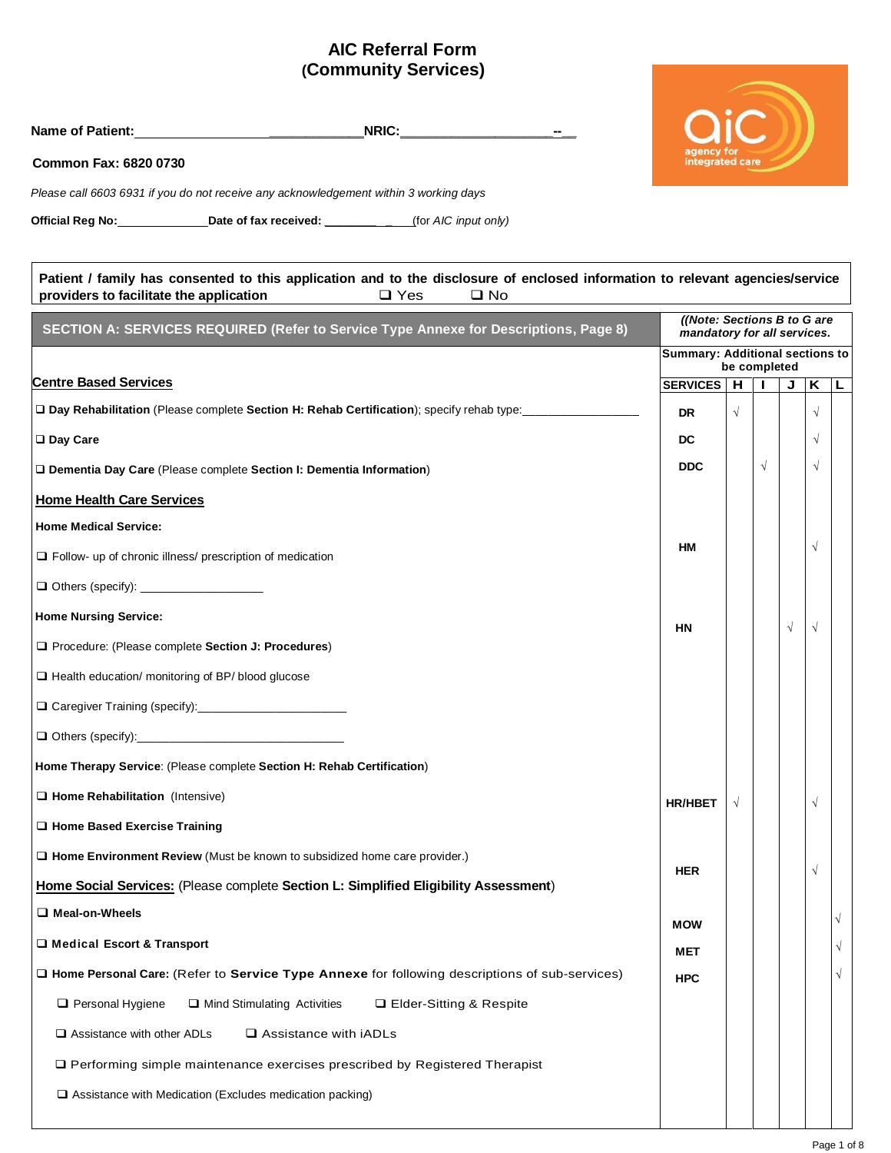## **AIC Referral Form (Community Services)**

| NRIC: <b>NRIC:</b><br>Name of Patient: Name of Patient:                                                                                                                                                |                                                            |            |              |   |            |            |
|--------------------------------------------------------------------------------------------------------------------------------------------------------------------------------------------------------|------------------------------------------------------------|------------|--------------|---|------------|------------|
| Common Fax: 6820 0730                                                                                                                                                                                  | integrated care                                            |            |              |   |            |            |
| Please call 6603 6931 if you do not receive any acknowledgement within 3 working days                                                                                                                  |                                                            |            |              |   |            |            |
| Official Reg No: __________________Date of fax received: ______________(for AIC input only)                                                                                                            |                                                            |            |              |   |            |            |
|                                                                                                                                                                                                        |                                                            |            |              |   |            |            |
| Patient / family has consented to this application and to the disclosure of enclosed information to relevant agencies/service<br>providers to facilitate the application<br>$\Box$ Yes<br>$\square$ No |                                                            |            |              |   |            |            |
| SECTION A: SERVICES REQUIRED (Refer to Service Type Annexe for Descriptions, Page 8)                                                                                                                   | ((Note: Sections B to G are<br>mandatory for all services. |            |              |   |            |            |
|                                                                                                                                                                                                        | Summary: Additional sections to                            |            |              |   |            |            |
| <b>Centre Based Services</b>                                                                                                                                                                           | SERVICES   H   I   J   K   L                               |            | be completed |   |            |            |
| Day Rehabilitation (Please complete Section H: Rehab Certification); specify rehab type: ____________________                                                                                          | <b>DR</b>                                                  | $\sqrt{2}$ |              |   | $\sqrt{ }$ |            |
| □ Day Care                                                                                                                                                                                             | DC.                                                        |            |              |   | $\sqrt{}$  |            |
| Dementia Day Care (Please complete Section I: Dementia Information)                                                                                                                                    | <b>DDC</b>                                                 |            | $\sqrt{ }$   |   | $\sqrt{ }$ |            |
| <b>Home Health Care Services</b>                                                                                                                                                                       |                                                            |            |              |   |            |            |
| <b>Home Medical Service:</b>                                                                                                                                                                           |                                                            |            |              |   |            |            |
| $\Box$ Follow- up of chronic illness/ prescription of medication                                                                                                                                       | HM                                                         |            |              |   | $\sqrt{}$  |            |
|                                                                                                                                                                                                        |                                                            |            |              |   |            |            |
| <b>Home Nursing Service:</b>                                                                                                                                                                           | <b>HN</b>                                                  |            |              | V | $\sqrt{ }$ |            |
| Procedure: (Please complete Section J: Procedures)                                                                                                                                                     |                                                            |            |              |   |            |            |
| Health education/ monitoring of BP/ blood glucose                                                                                                                                                      |                                                            |            |              |   |            |            |
|                                                                                                                                                                                                        |                                                            |            |              |   |            |            |
|                                                                                                                                                                                                        |                                                            |            |              |   |            |            |
| Home Therapy Service: (Please complete Section H: Rehab Certification)                                                                                                                                 |                                                            |            |              |   |            |            |
| $\Box$ Home Rehabilitation (Intensive)                                                                                                                                                                 | <b>HR/HBET</b>                                             |            |              |   | $\sqrt{}$  |            |
| $\Box$ Home Based Exercise Training                                                                                                                                                                    |                                                            |            |              |   |            |            |
| □ Home Environment Review (Must be known to subsidized home care provider.)                                                                                                                            |                                                            |            |              |   |            |            |
| Home Social Services: (Please complete Section L: Simplified Eligibility Assessment)                                                                                                                   | <b>HER</b>                                                 |            |              |   | √          |            |
| Meal-on-Wheels                                                                                                                                                                                         | <b>MOW</b>                                                 |            |              |   |            | $\sqrt{ }$ |
| □ Medical Escort & Transport                                                                                                                                                                           | MET                                                        |            |              |   |            | $\sqrt{}$  |
| □ Home Personal Care: (Refer to Service Type Annexe for following descriptions of sub-services)                                                                                                        | <b>HPC</b>                                                 |            |              |   |            | $\sqrt{}$  |
| Personal Hygiene<br>Mind Stimulating Activities<br>□ Elder-Sitting & Respite                                                                                                                           |                                                            |            |              |   |            |            |
| $\Box$ Assistance with other ADLs<br>$\square$ Assistance with iADLs                                                                                                                                   |                                                            |            |              |   |            |            |
| □ Performing simple maintenance exercises prescribed by Registered Therapist                                                                                                                           |                                                            |            |              |   |            |            |
| $\Box$ Assistance with Medication (Excludes medication packing)                                                                                                                                        |                                                            |            |              |   |            |            |
|                                                                                                                                                                                                        |                                                            |            |              |   |            |            |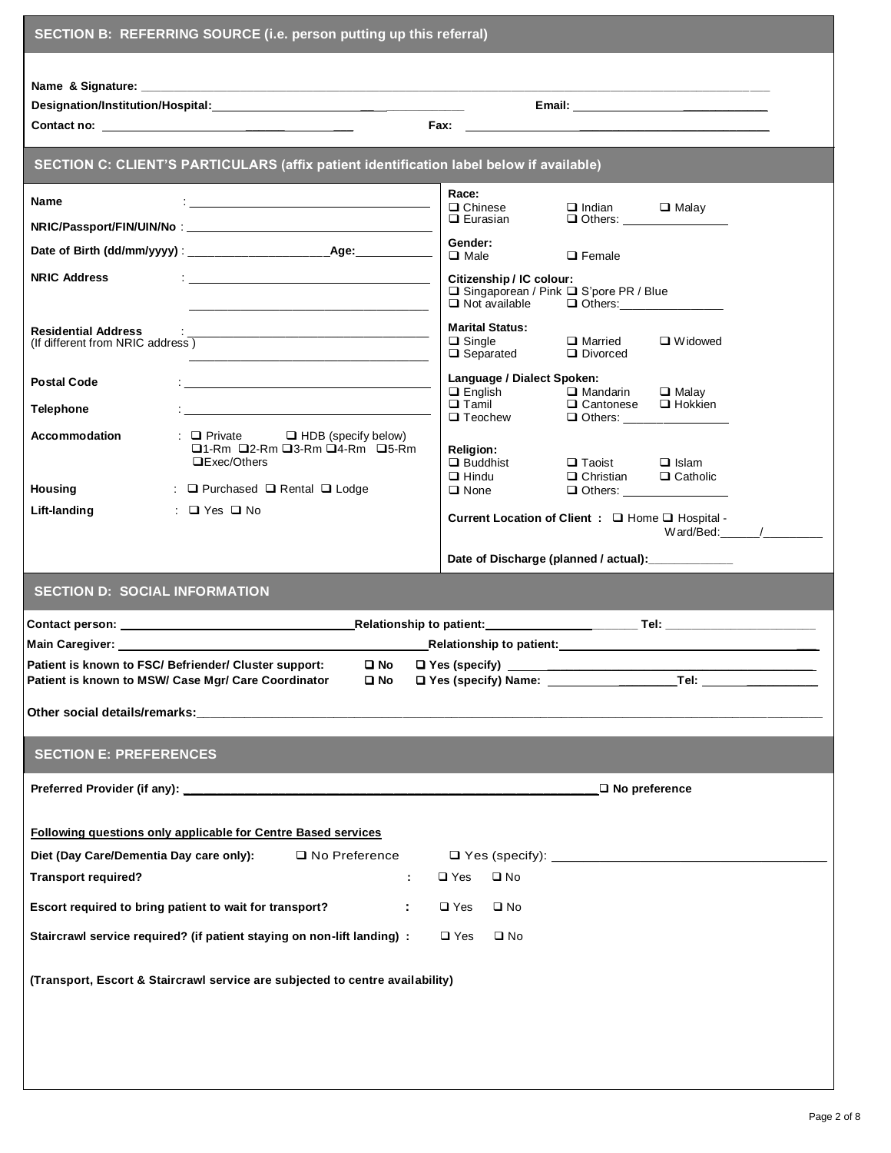| SECTION B: REFERRING SOURCE (i.e. person putting up this referral)                                                                                                                                        |                                                                                                                                                                                                                 |  |  |  |  |
|-----------------------------------------------------------------------------------------------------------------------------------------------------------------------------------------------------------|-----------------------------------------------------------------------------------------------------------------------------------------------------------------------------------------------------------------|--|--|--|--|
|                                                                                                                                                                                                           |                                                                                                                                                                                                                 |  |  |  |  |
|                                                                                                                                                                                                           |                                                                                                                                                                                                                 |  |  |  |  |
|                                                                                                                                                                                                           |                                                                                                                                                                                                                 |  |  |  |  |
| SECTION C: CLIENT'S PARTICULARS (affix patient identification label below if available)                                                                                                                   |                                                                                                                                                                                                                 |  |  |  |  |
| Name<br><u> 1989 - Johann John Stone, mars eta biztanleria (h. 1989).</u>                                                                                                                                 | Race:<br>$\Box$ Chinese<br>$\Box$ Indian<br>$\Box$ Malay                                                                                                                                                        |  |  |  |  |
|                                                                                                                                                                                                           | $\Box$ Eurasian                                                                                                                                                                                                 |  |  |  |  |
|                                                                                                                                                                                                           | Gender:<br>$\Box$ Male<br>$\Box$ Female                                                                                                                                                                         |  |  |  |  |
| <b>NRIC Address</b><br><u> 1988 - Andrea Stadt Britain, amerikansk politik (</u><br><u> 1990 - Johann Harry Harry Harry Harry Harry Harry Harry Harry Harry Harry Harry Harry Harry Harry Harry Harry</u> | Citizenship / IC colour:<br>□ Singaporean / Pink □ S'pore PR / Blue<br>$\Box$ Not available<br>$\Box$ Others:                                                                                                   |  |  |  |  |
| <b>Residential Address</b><br>(If different from NRIC address)<br><u> 1989 - Johann John Stein, markin fan it ferskearre fan it ferskearre fan it ferskearre fan it ferskearre fan </u>                   | <b>Marital Status:</b><br>$\Box$ Single<br>$\Box$ Married<br>$\Box$ Widowed<br>$\Box$ Separated<br>$\Box$ Divorced                                                                                              |  |  |  |  |
| <b>Postal Code</b><br><b>Telephone</b>                                                                                                                                                                    | Language / Dialect Spoken:<br>$\Box$ English<br>$\square$ Mandarin<br>$\Box$ Malav<br>$\Box$ Tamil<br>$\Box$ Teachers<br>$\Box$ Hokkien<br>□ Cantonese<br>$\Box$ Teochew<br>$\Box$ Others: ____________________ |  |  |  |  |
| : Private D HDB (specify below)<br>Accommodation<br>□1-Rm □2-Rm □3-Rm □4-Rm □5-Rm<br>$\Box$ Exec/Others                                                                                                   | <b>Religion:</b><br>$\Box$ Buddhist<br>$\Box$ Taoist $\Box$ Islam                                                                                                                                               |  |  |  |  |
| <b>Housing</b><br>: $\Box$ Purchased $\Box$ Rental $\Box$ Lodge                                                                                                                                           | $\Box$ Christian<br>$\Box$ Catholic<br>$\Box$ Hindu<br>$\square$ None                                                                                                                                           |  |  |  |  |
| Lift-landing<br>$\Box$ Yes $\Box$ No                                                                                                                                                                      | Current Location of Client : Q Home Q Hospital -                                                                                                                                                                |  |  |  |  |
|                                                                                                                                                                                                           | $W$ ard/Bed: $\qquad$ /                                                                                                                                                                                         |  |  |  |  |
|                                                                                                                                                                                                           | Date of Discharge (planned / actual): _____________                                                                                                                                                             |  |  |  |  |
| <b>SECTION D: SOCIAL INFORMATION</b>                                                                                                                                                                      |                                                                                                                                                                                                                 |  |  |  |  |
|                                                                                                                                                                                                           |                                                                                                                                                                                                                 |  |  |  |  |
|                                                                                                                                                                                                           |                                                                                                                                                                                                                 |  |  |  |  |
| Patient is known to FSC/ Befriender/ Cluster support:<br>Patient is known to MSW/ Case Mgr/ Care Coordinator                                                                                              | $\square$ No<br>□ Yes (specify) <u>__________________________________</u><br>י Ω No                                                                                                                             |  |  |  |  |
|                                                                                                                                                                                                           |                                                                                                                                                                                                                 |  |  |  |  |
|                                                                                                                                                                                                           |                                                                                                                                                                                                                 |  |  |  |  |
| <b>SECTION E: PREFERENCES</b>                                                                                                                                                                             |                                                                                                                                                                                                                 |  |  |  |  |
|                                                                                                                                                                                                           | $\Box$ No preference                                                                                                                                                                                            |  |  |  |  |
| Following questions only applicable for Centre Based services                                                                                                                                             |                                                                                                                                                                                                                 |  |  |  |  |
| Diet (Day Care/Dementia Day care only):<br>$\Box$ No Preference                                                                                                                                           |                                                                                                                                                                                                                 |  |  |  |  |
| <b>Transport required?</b>                                                                                                                                                                                | $\square$ No<br>$\square$ Yes<br>÷                                                                                                                                                                              |  |  |  |  |
| Escort required to bring patient to wait for transport?                                                                                                                                                   | $\square$ No<br>÷<br>$\square$ Yes                                                                                                                                                                              |  |  |  |  |
| Staircrawl service required? (if patient staying on non-lift landing) :                                                                                                                                   | $\square$ Yes<br>$\square$ No                                                                                                                                                                                   |  |  |  |  |
| (Transport, Escort & Staircrawl service are subjected to centre availability)                                                                                                                             |                                                                                                                                                                                                                 |  |  |  |  |
|                                                                                                                                                                                                           |                                                                                                                                                                                                                 |  |  |  |  |
|                                                                                                                                                                                                           |                                                                                                                                                                                                                 |  |  |  |  |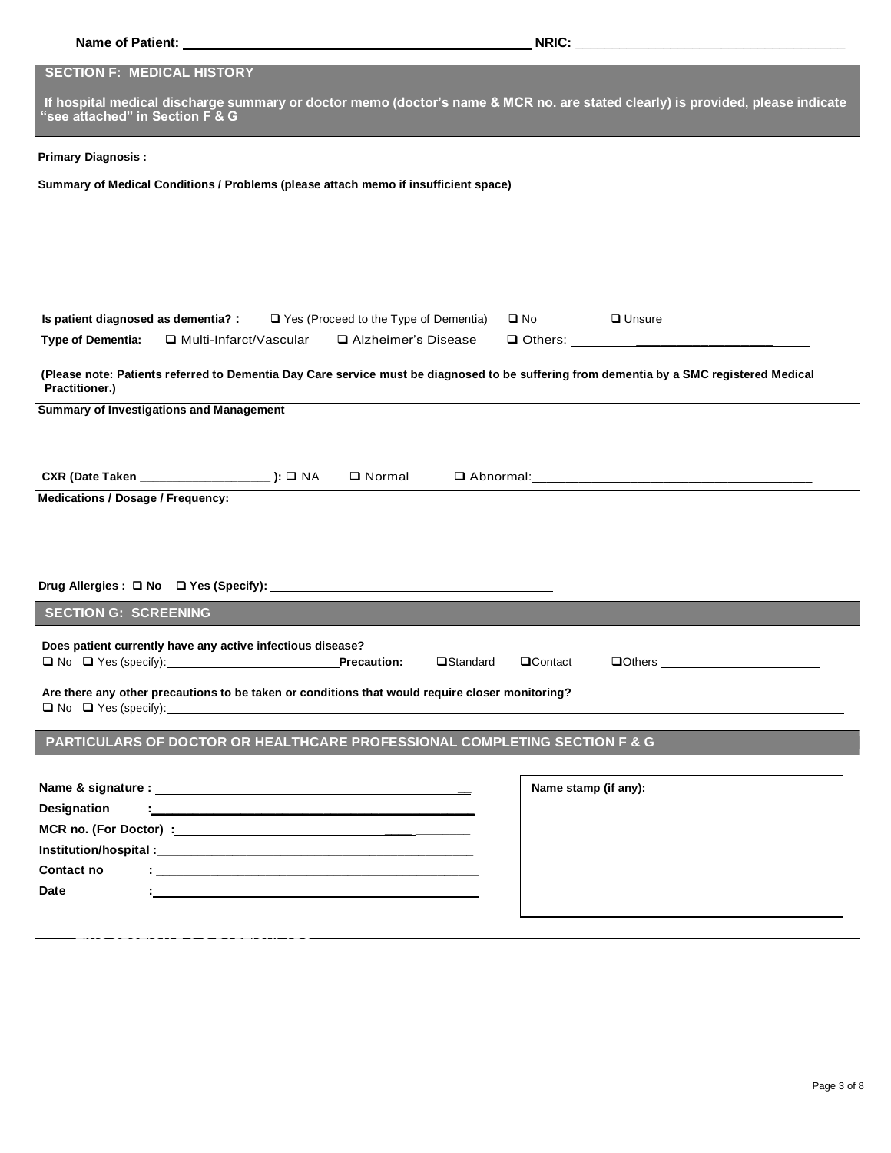**TING SECTION F & G PARTICULARS** 

| <b>SECTION F: MEDICAL HISTORY</b>                                                                                                                                                                         |
|-----------------------------------------------------------------------------------------------------------------------------------------------------------------------------------------------------------|
| If hospital medical discharge summary or doctor memo (doctor's name & MCR no. are stated clearly) is provided, please indicate<br>"see attached" in Section F & G                                         |
| <b>Primary Diagnosis:</b>                                                                                                                                                                                 |
| Summary of Medical Conditions / Problems (please attach memo if insufficient space)                                                                                                                       |
|                                                                                                                                                                                                           |
|                                                                                                                                                                                                           |
|                                                                                                                                                                                                           |
|                                                                                                                                                                                                           |
|                                                                                                                                                                                                           |
| Is patient diagnosed as dementia? : $\square$ Yes (Proceed to the Type of Dementia)<br>$\Box$ No $\Box$<br>$\Box$ Unsure<br><b>Type of Dementia:</b><br>□ Multi-Infarct/Vascular<br>□ Alzheimer's Disease |
|                                                                                                                                                                                                           |
| (Please note: Patients referred to Dementia Day Care service must be diagnosed to be suffering from dementia by a SMC registered Medical<br>Practitioner.)                                                |
| <b>Summary of Investigations and Management</b>                                                                                                                                                           |
|                                                                                                                                                                                                           |
|                                                                                                                                                                                                           |
| CXR (Date Taken ____________________): □ NA<br>$\Box$ Normal                                                                                                                                              |
| <b>Medications / Dosage / Frequency:</b>                                                                                                                                                                  |
|                                                                                                                                                                                                           |
|                                                                                                                                                                                                           |
|                                                                                                                                                                                                           |
| <b>SECTION G: SCREENING</b>                                                                                                                                                                               |
|                                                                                                                                                                                                           |
| Does patient currently have any active infectious disease?<br>$\Box$ Others $\_\_\_\_\_\_\_\_\_\_\_\_$<br><b>□Standard</b><br>$\Box$ Contact                                                              |
|                                                                                                                                                                                                           |
| Are there any other precautions to be taken or conditions that would require closer monitoring?                                                                                                           |
|                                                                                                                                                                                                           |
| PARTICULARS OF DOCTOR OR HEALTHCARE PROFESSIONAL COMPLETING SECTION F & G                                                                                                                                 |
|                                                                                                                                                                                                           |
| Name stamp (if any):                                                                                                                                                                                      |
| <b>Designation</b><br>the contract of the contract of the contract of the contract of the contract of the contract of the contract of                                                                     |
|                                                                                                                                                                                                           |
| Contact no                                                                                                                                                                                                |
| Date<br>the contract of the contract of the contract of the contract of the contract of                                                                                                                   |
|                                                                                                                                                                                                           |
|                                                                                                                                                                                                           |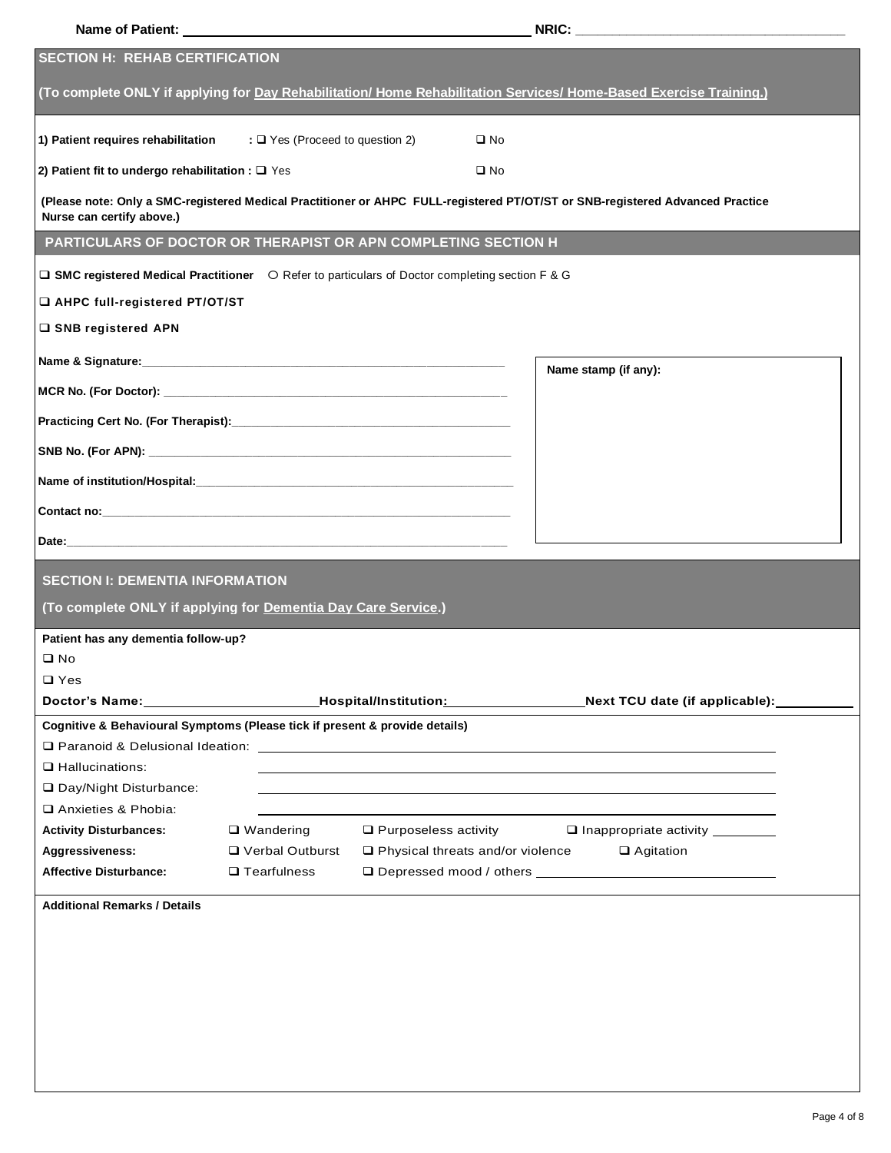|                                                                                                                                | Name of Patient: Name of Patient: |                                                  |              |                                                                                                                                                                                                                                |  |
|--------------------------------------------------------------------------------------------------------------------------------|-----------------------------------|--------------------------------------------------|--------------|--------------------------------------------------------------------------------------------------------------------------------------------------------------------------------------------------------------------------------|--|
| <b>SECTION H: REHAB CERTIFICATION</b>                                                                                          |                                   |                                                  |              |                                                                                                                                                                                                                                |  |
|                                                                                                                                |                                   |                                                  |              | (To complete ONLY if applying for Day Rehabilitation/ Home Rehabilitation Services/ Home-Based Exercise Training.)                                                                                                             |  |
| 1) Patient requires rehabilitation $\Box$ Yes (Proceed to question 2)                                                          |                                   |                                                  | $\square$ No |                                                                                                                                                                                                                                |  |
| 2) Patient fit to undergo rehabilitation : $\Box$ Yes                                                                          |                                   |                                                  | $\square$ No |                                                                                                                                                                                                                                |  |
| Nurse can certify above.)                                                                                                      |                                   |                                                  |              | (Please note: Only a SMC-registered Medical Practitioner or AHPC FULL-registered PT/OT/ST or SNB-registered Advanced Practice                                                                                                  |  |
| PARTICULARS OF DOCTOR OR THERAPIST OR APN COMPLETING SECTION H                                                                 |                                   |                                                  |              |                                                                                                                                                                                                                                |  |
| $\Box$ SMC registered Medical Practitioner $\Box$ Refer to particulars of Doctor completing section F & G                      |                                   |                                                  |              |                                                                                                                                                                                                                                |  |
| □ AHPC full-registered PT/OT/ST                                                                                                |                                   |                                                  |              |                                                                                                                                                                                                                                |  |
| □ SNB registered APN                                                                                                           |                                   |                                                  |              |                                                                                                                                                                                                                                |  |
| Name & Signature: Name & Signature:                                                                                            |                                   |                                                  |              | Name stamp (if any):                                                                                                                                                                                                           |  |
|                                                                                                                                |                                   |                                                  |              |                                                                                                                                                                                                                                |  |
|                                                                                                                                |                                   |                                                  |              |                                                                                                                                                                                                                                |  |
|                                                                                                                                |                                   |                                                  |              |                                                                                                                                                                                                                                |  |
|                                                                                                                                |                                   |                                                  |              |                                                                                                                                                                                                                                |  |
| Contact no: <b>Example 2018</b> 2019 12:00: <b>Contact no: Example 2018</b> 2019 12:00: <b>Contact no: Example 2019</b> 20:00: |                                   |                                                  |              |                                                                                                                                                                                                                                |  |
|                                                                                                                                |                                   |                                                  |              |                                                                                                                                                                                                                                |  |
| <b>SECTION I: DEMENTIA INFORMATION</b>                                                                                         |                                   |                                                  |              |                                                                                                                                                                                                                                |  |
| (To complete ONLY if applying for Dementia Day Care Service.)                                                                  |                                   |                                                  |              |                                                                                                                                                                                                                                |  |
| Patient has any dementia follow-up?                                                                                            |                                   |                                                  |              |                                                                                                                                                                                                                                |  |
| $\square$ No                                                                                                                   |                                   |                                                  |              |                                                                                                                                                                                                                                |  |
| $\square$ Yes                                                                                                                  |                                   |                                                  |              |                                                                                                                                                                                                                                |  |
|                                                                                                                                |                                   | _Hospital/Institution <u>: _________________</u> |              | Next TCU date (if applicable):                                                                                                                                                                                                 |  |
| Cognitive & Behavioural Symptoms (Please tick if present & provide details)                                                    |                                   |                                                  |              |                                                                                                                                                                                                                                |  |
|                                                                                                                                |                                   |                                                  |              | Q Paranoid & Delusional Ideation: Letter and the set of the set of the set of the set of the set of the set of the set of the set of the set of the set of the set of the set of the set of the set of the set of the set of t |  |
| $\Box$ Hallucinations:                                                                                                         |                                   |                                                  |              |                                                                                                                                                                                                                                |  |
| □ Day/Night Disturbance:                                                                                                       |                                   |                                                  |              |                                                                                                                                                                                                                                |  |
| Anxieties & Phobia:                                                                                                            |                                   |                                                  |              |                                                                                                                                                                                                                                |  |
| <b>Activity Disturbances:</b>                                                                                                  | $\Box$ Wandering                  | $\Box$ Purposeless activity                      |              | □ Inappropriate activity ________                                                                                                                                                                                              |  |
| Aggressiveness:                                                                                                                | □ Verbal Outburst                 | □ Physical threats and/or violence               |              | $\Box$ Agitation                                                                                                                                                                                                               |  |
| <b>Affective Disturbance:</b>                                                                                                  | $\Box$ Tearfulness                |                                                  |              |                                                                                                                                                                                                                                |  |
| <b>Additional Remarks / Details</b>                                                                                            |                                   |                                                  |              |                                                                                                                                                                                                                                |  |
|                                                                                                                                |                                   |                                                  |              |                                                                                                                                                                                                                                |  |
|                                                                                                                                |                                   |                                                  |              |                                                                                                                                                                                                                                |  |
|                                                                                                                                |                                   |                                                  |              |                                                                                                                                                                                                                                |  |
|                                                                                                                                |                                   |                                                  |              |                                                                                                                                                                                                                                |  |
|                                                                                                                                |                                   |                                                  |              |                                                                                                                                                                                                                                |  |
|                                                                                                                                |                                   |                                                  |              |                                                                                                                                                                                                                                |  |
|                                                                                                                                |                                   |                                                  |              |                                                                                                                                                                                                                                |  |
|                                                                                                                                |                                   |                                                  |              |                                                                                                                                                                                                                                |  |
|                                                                                                                                |                                   |                                                  |              |                                                                                                                                                                                                                                |  |
|                                                                                                                                |                                   |                                                  |              |                                                                                                                                                                                                                                |  |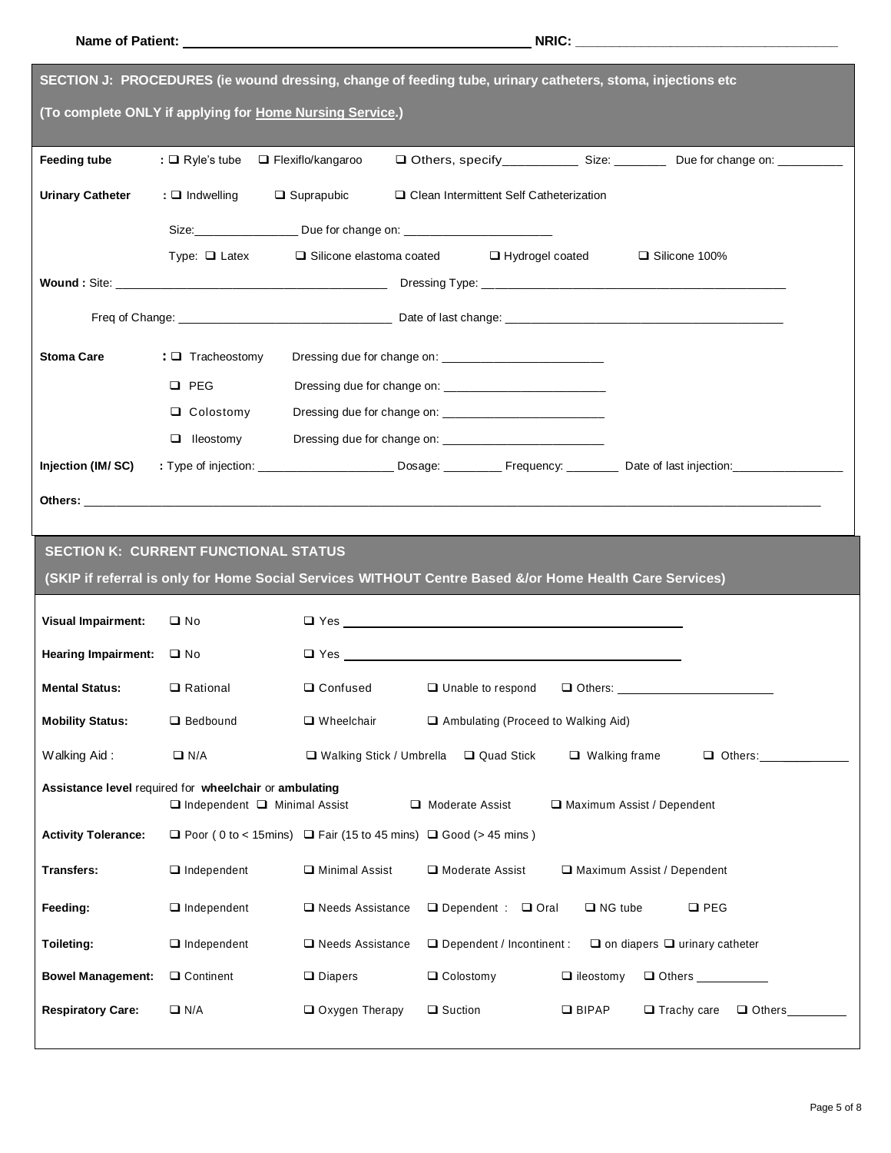|                                    |                                                                                                    | SECTION J: PROCEDURES (ie wound dressing, change of feeding tube, urinary catheters, stoma, injections etc |                                                        |                      |                                                                                                                                                                                                                                |
|------------------------------------|----------------------------------------------------------------------------------------------------|------------------------------------------------------------------------------------------------------------|--------------------------------------------------------|----------------------|--------------------------------------------------------------------------------------------------------------------------------------------------------------------------------------------------------------------------------|
|                                    | (To complete ONLY if applying for Home Nursing Service.)                                           |                                                                                                            |                                                        |                      |                                                                                                                                                                                                                                |
| Feeding tube                       | : $\Box$ Ryle's tube $\Box$ Flexiflo/kangaroo                                                      |                                                                                                            |                                                        |                      | □ Others, specify___________ Size: ________ Due for change on: _________                                                                                                                                                       |
| <b>Urinary Catheter</b>            | $: \Box$ Indwelling                                                                                | $\Box$ Suprapubic                                                                                          | □ Clean Intermittent Self Catheterization              |                      |                                                                                                                                                                                                                                |
|                                    |                                                                                                    | Size: _________________________ Due for change on: _____________________________                           |                                                        |                      |                                                                                                                                                                                                                                |
|                                    | Type: $\Box$ Latex                                                                                 |                                                                                                            | $\Box$ Silicone elastoma coated $\Box$ Hydrogel coated |                      | □ Silicone 100%                                                                                                                                                                                                                |
|                                    |                                                                                                    |                                                                                                            |                                                        |                      |                                                                                                                                                                                                                                |
|                                    |                                                                                                    |                                                                                                            |                                                        |                      |                                                                                                                                                                                                                                |
| <b>Stoma Care</b>                  | : $\Box$ Tracheostomy                                                                              |                                                                                                            |                                                        |                      |                                                                                                                                                                                                                                |
|                                    | $\Box$ PEG                                                                                         |                                                                                                            |                                                        |                      |                                                                                                                                                                                                                                |
|                                    | $\Box$ Colostomy                                                                                   |                                                                                                            |                                                        |                      |                                                                                                                                                                                                                                |
|                                    | $\Box$ lleostomy                                                                                   |                                                                                                            |                                                        |                      |                                                                                                                                                                                                                                |
| Injection (IM/SC)                  |                                                                                                    |                                                                                                            |                                                        |                      | : Type of injection: ___________________________ Dosage: ____________ Frequency: __________ Date of last injection: __________________                                                                                         |
|                                    |                                                                                                    |                                                                                                            |                                                        |                      | Others: with a contract of the contract of the contract of the contract of the contract of the contract of the contract of the contract of the contract of the contract of the contract of the contract of the contract of the |
| <b>Visual Impairment:</b>          | $\square$ No                                                                                       |                                                                                                            |                                                        |                      |                                                                                                                                                                                                                                |
| Hearing Impairment:<br><u>I</u> No |                                                                                                    |                                                                                                            |                                                        |                      |                                                                                                                                                                                                                                |
| <b>Mental Status:</b>              | $\Box$ Rational                                                                                    | $\Box$ Confused                                                                                            |                                                        |                      |                                                                                                                                                                                                                                |
| <b>Mobility Status:</b>            |                                                                                                    |                                                                                                            | $\Box$ Unable to respond                               |                      | $\Box$ Others:                                                                                                                                                                                                                 |
|                                    | Bedbound                                                                                           | $\Box$ Wheelchair                                                                                          | Ambulating (Proceed to Walking Aid)                    |                      |                                                                                                                                                                                                                                |
| Walking Aid:                       | $\Box$ N/A                                                                                         | □ Walking Stick / Umbrella                                                                                 | Quad Stick                                             | $\Box$ Walking frame | $\Box$ Others:                                                                                                                                                                                                                 |
|                                    | Assistance level required for wheelchair or ambulating<br>$\Box$ Independent $\Box$ Minimal Assist |                                                                                                            | Moderate Assist                                        |                      | $\Box$ Maximum Assist / Dependent                                                                                                                                                                                              |
| <b>Activity Tolerance:</b>         |                                                                                                    | $\Box$ Poor (0 to < 15mins) $\Box$ Fair (15 to 45 mins) $\Box$ Good (> 45 mins)                            |                                                        |                      |                                                                                                                                                                                                                                |
| <b>Transfers:</b>                  | $\Box$ Independent                                                                                 | Minimal Assist                                                                                             | Moderate Assist                                        |                      | $\Box$ Maximum Assist / Dependent                                                                                                                                                                                              |
| Feeding:                           | $\Box$ Independent                                                                                 | $\Box$ Needs Assistance                                                                                    | $\Box$ Dependent : $\Box$ Oral                         | $\Box$ NG tube       | $\square$ PEG                                                                                                                                                                                                                  |
| Toileting:                         | $\Box$ Independent                                                                                 | $\Box$ Needs Assistance                                                                                    | $\Box$ Dependent / Incontinent :                       |                      | $\Box$ on diapers $\Box$ urinary catheter                                                                                                                                                                                      |
| <b>Bowel Management:</b>           | □ Continent                                                                                        | $\Box$ Diapers                                                                                             | $\Box$ Colostomy                                       | $\Box$ ileostomy     | $\Box$ Others $\_\_\_\$                                                                                                                                                                                                        |
| <b>Respiratory Care:</b>           | $\Box$ N/A                                                                                         | Oxygen Therapy                                                                                             | $\Box$ Suction                                         | $\Box$ BIPAP         | $\Box$ Trachy care<br>$\Box$ Others                                                                                                                                                                                            |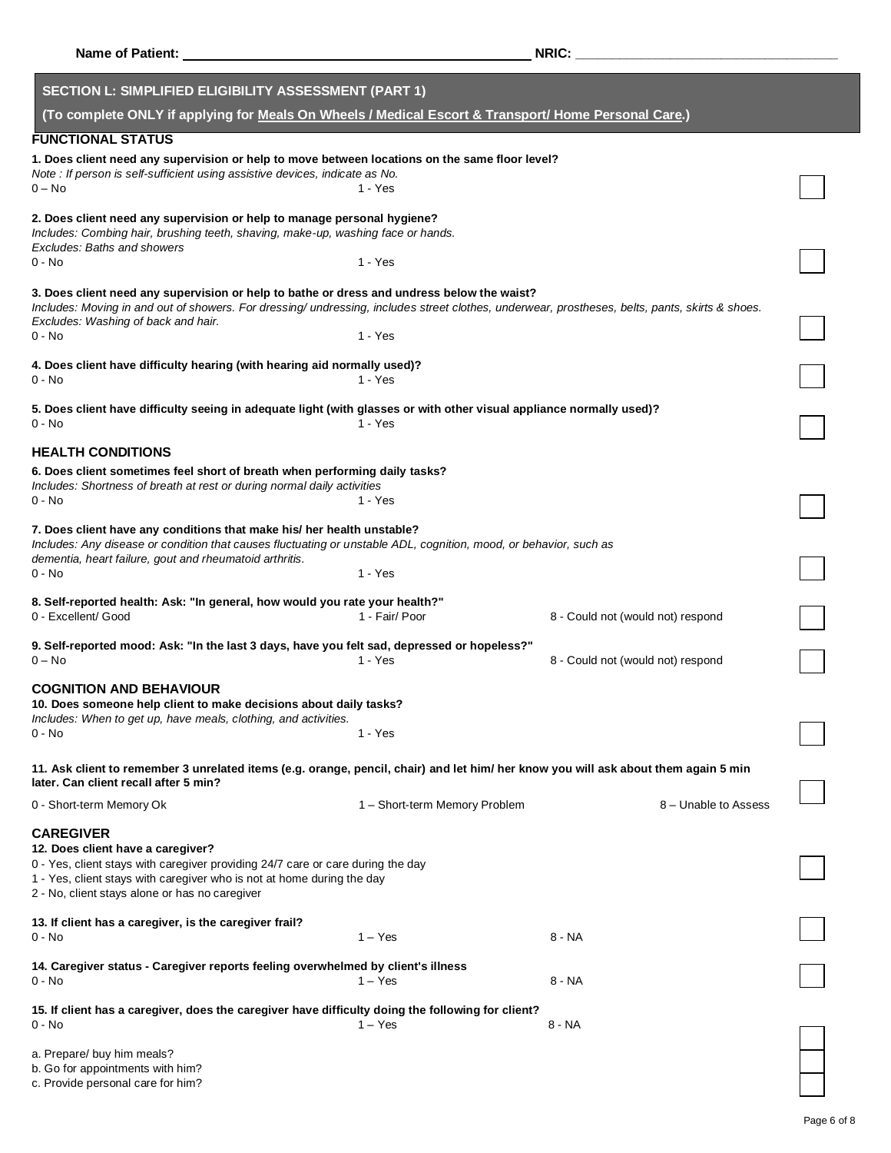| <b>Name of Patient:</b>                                                                                                                                                                                                                                                              |                               | NRIC:                             |  |  |
|--------------------------------------------------------------------------------------------------------------------------------------------------------------------------------------------------------------------------------------------------------------------------------------|-------------------------------|-----------------------------------|--|--|
| <b>SECTION L: SIMPLIFIED ELIGIBILITY ASSESSMENT (PART 1)</b>                                                                                                                                                                                                                         |                               |                                   |  |  |
| (To complete ONLY if applying for Meals On Wheels / Medical Escort & Transport/ Home Personal Care.)                                                                                                                                                                                 |                               |                                   |  |  |
| <b>FUNCTIONAL STATUS</b>                                                                                                                                                                                                                                                             |                               |                                   |  |  |
| 1. Does client need any supervision or help to move between locations on the same floor level?                                                                                                                                                                                       |                               |                                   |  |  |
| Note : If person is self-sufficient using assistive devices, indicate as No.<br>0 – No                                                                                                                                                                                               | 1 - Yes                       |                                   |  |  |
| 2. Does client need any supervision or help to manage personal hygiene?                                                                                                                                                                                                              |                               |                                   |  |  |
| Includes: Combing hair, brushing teeth, shaving, make-up, washing face or hands.                                                                                                                                                                                                     |                               |                                   |  |  |
| <b>Excludes: Baths and showers</b><br>0 - No                                                                                                                                                                                                                                         | 1 - Yes                       |                                   |  |  |
| 3. Does client need any supervision or help to bathe or dress and undress below the waist?<br>Includes: Moving in and out of showers. For dressing/ undressing, includes street clothes, underwear, prostheses, belts, pants, skirts & shoes.<br>Excludes: Washing of back and hair. |                               |                                   |  |  |
| $0 - No$                                                                                                                                                                                                                                                                             | 1 - Yes                       |                                   |  |  |
| 4. Does client have difficulty hearing (with hearing aid normally used)?<br>0 - No                                                                                                                                                                                                   | $1 - Yes$                     |                                   |  |  |
| 5. Does client have difficulty seeing in adequate light (with glasses or with other visual appliance normally used)?                                                                                                                                                                 |                               |                                   |  |  |
| $0 - No$                                                                                                                                                                                                                                                                             | 1 - Yes                       |                                   |  |  |
| <b>HEALTH CONDITIONS</b>                                                                                                                                                                                                                                                             |                               |                                   |  |  |
| 6. Does client sometimes feel short of breath when performing daily tasks?                                                                                                                                                                                                           |                               |                                   |  |  |
| Includes: Shortness of breath at rest or during normal daily activities<br>0 - No                                                                                                                                                                                                    | 1 - Yes                       |                                   |  |  |
|                                                                                                                                                                                                                                                                                      |                               |                                   |  |  |
| 7. Does client have any conditions that make his/ her health unstable?<br>Includes: Any disease or condition that causes fluctuating or unstable ADL, cognition, mood, or behavior, such as<br>dementia, heart failure, gout and rheumatoid arthritis.<br>0 - No                     | 1 - Yes                       |                                   |  |  |
|                                                                                                                                                                                                                                                                                      |                               |                                   |  |  |
| 8. Self-reported health: Ask: "In general, how would you rate your health?"<br>0 - Excellent/ Good                                                                                                                                                                                   | 1 - Fair/ Poor                | 8 - Could not (would not) respond |  |  |
| 9. Self-reported mood: Ask: "In the last 3 days, have you felt sad, depressed or hopeless?"<br>$0 - No$                                                                                                                                                                              | $1 - Yes$                     | 8 - Could not (would not) respond |  |  |
| <b>COGNITION AND BEHAVIOUR</b><br>10. Does someone help client to make decisions about daily tasks?                                                                                                                                                                                  |                               |                                   |  |  |
| Includes: When to get up, have meals, clothing, and activities.<br>0 - No                                                                                                                                                                                                            | 1 - Yes                       |                                   |  |  |
|                                                                                                                                                                                                                                                                                      |                               |                                   |  |  |
| 11. Ask client to remember 3 unrelated items (e.g. orange, pencil, chair) and let him/ her know you will ask about them again 5 min<br>later. Can client recall after 5 min?                                                                                                         |                               |                                   |  |  |
| 0 - Short-term Memory Ok                                                                                                                                                                                                                                                             | 1 - Short-term Memory Problem | 8 – Unable to Assess              |  |  |
| <b>CAREGIVER</b><br>12. Does client have a caregiver?<br>0 - Yes, client stays with caregiver providing 24/7 care or care during the day<br>1 - Yes, client stays with caregiver who is not at home during the day<br>2 - No, client stays alone or has no caregiver                 |                               |                                   |  |  |
| 13. If client has a caregiver, is the caregiver frail?<br>0 - No                                                                                                                                                                                                                     | $1 - Yes$                     | 8 - NA                            |  |  |
| 14. Caregiver status - Caregiver reports feeling overwhelmed by client's illness<br>0 - No                                                                                                                                                                                           | $1 - Yes$                     | 8 - NA                            |  |  |
| 15. If client has a caregiver, does the caregiver have difficulty doing the following for client?<br>0 - No                                                                                                                                                                          | $1 - Yes$                     | $8 - NA$                          |  |  |
| a. Prepare/ buy him meals?<br>b. Go for appointments with him?<br>c. Provide personal care for him?                                                                                                                                                                                  |                               |                                   |  |  |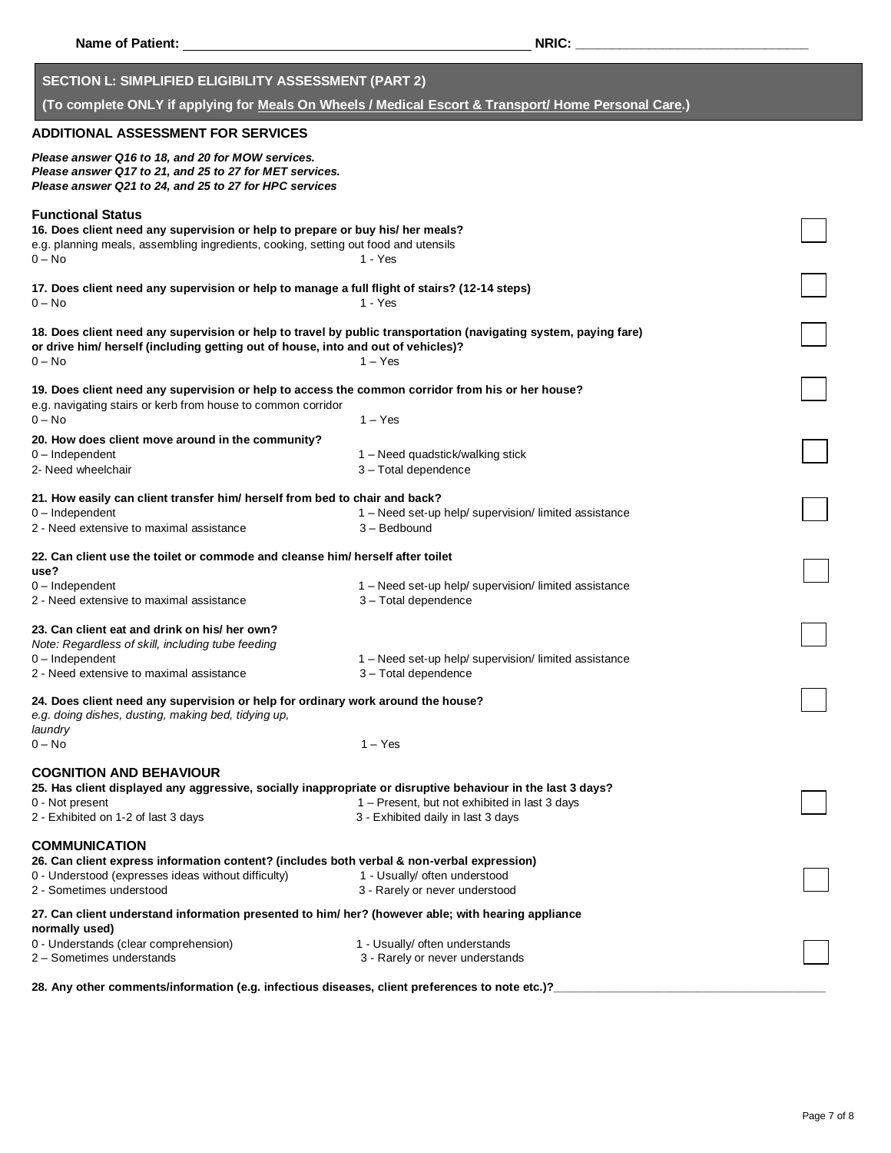| Name of Patient:                                                                                                                                                                                                  | NRIC:                                                                                                |  |
|-------------------------------------------------------------------------------------------------------------------------------------------------------------------------------------------------------------------|------------------------------------------------------------------------------------------------------|--|
| <b>SECTION L: SIMPLIFIED ELIGIBILITY ASSESSMENT (PART 2)</b>                                                                                                                                                      | (To complete ONLY if applying for Meals On Wheels / Medical Escort & Transport/ Home Personal Care.) |  |
| <b>ADDITIONAL ASSESSMENT FOR SERVICES</b>                                                                                                                                                                         |                                                                                                      |  |
| Please answer Q16 to 18, and 20 for MOW services.<br>Please answer Q17 to 21, and 25 to 27 for MET services.<br>Please answer Q21 to 24, and 25 to 27 for HPC services                                            |                                                                                                      |  |
| <b>Functional Status</b><br>16. Does client need any supervision or help to prepare or buy his/ her meals?<br>e.g. planning meals, assembling ingredients, cooking, setting out food and utensils<br>$0 - No$     | 1 - Yes                                                                                              |  |
| 17. Does client need any supervision or help to manage a full flight of stairs? (12-14 steps)<br>$0 - No$                                                                                                         | 1 - Yes                                                                                              |  |
| 18. Does client need any supervision or help to travel by public transportation (navigating system, paying fare)<br>or drive him/ herself (including getting out of house, into and out of vehicles)?<br>$0 - No$ | $1 - Yes$                                                                                            |  |
| 19. Does client need any supervision or help to access the common corridor from his or her house?<br>e.g. navigating stairs or kerb from house to common corridor<br>$0 - No$                                     | $1 - Yes$                                                                                            |  |
| 20. How does client move around in the community?<br>$0$ – Independent<br>2- Need wheelchair                                                                                                                      | 1 – Need quadstick/walking stick<br>3 - Total dependence                                             |  |
| 21. How easily can client transfer him/ herself from bed to chair and back?<br>$0$ – Independent<br>2 - Need extensive to maximal assistance                                                                      | 1 - Need set-up help/ supervision/ limited assistance<br>3 - Bedbound                                |  |
| 22. Can client use the toilet or commode and cleanse him/ herself after toilet<br>use?                                                                                                                            |                                                                                                      |  |
| $0$ – Independent<br>2 - Need extensive to maximal assistance                                                                                                                                                     | 1 - Need set-up help/ supervision/ limited assistance<br>3 - Total dependence                        |  |
| 23. Can client eat and drink on his/ her own?<br>Note: Regardless of skill, including tube feeding<br>$0$ – Independent<br>2 - Need extensive to maximal assistance                                               | 1 - Need set-up help/ supervision/ limited assistance<br>3 - Total dependence                        |  |
| 24. Does client need any supervision or help for ordinary work around the house?<br>e.g. doing dishes, dusting, making bed, tidying up,<br>laundry                                                                |                                                                                                      |  |
| $0 - No$                                                                                                                                                                                                          | $1 - Yes$                                                                                            |  |
| <b>COGNITION AND BEHAVIOUR</b><br>25. Has client displayed any aggressive, socially inappropriate or disruptive behaviour in the last 3 days?<br>0 - Not present<br>2 - Exhibited on 1-2 of last 3 days           | 1 - Present, but not exhibited in last 3 days<br>3 - Exhibited daily in last 3 days                  |  |
| <b>COMMUNICATION</b><br>26. Can client express information content? (includes both verbal & non-verbal expression)<br>0 - Understood (expresses ideas without difficulty)<br>2 - Sometimes understood             | 1 - Usually/ often understood<br>3 - Rarely or never understood                                      |  |
| 27. Can client understand information presented to him/ her? (however able; with hearing appliance<br>normally used)                                                                                              |                                                                                                      |  |
| 0 - Understands (clear comprehension)<br>2 - Sometimes understands                                                                                                                                                | 1 - Usually/ often understands<br>3 - Rarely or never understands                                    |  |
| 28. Any other comments/information (e.g. infectious diseases, client preferences to note etc.)?                                                                                                                   |                                                                                                      |  |